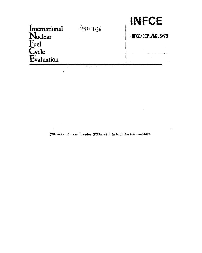| International<br>$\sqrt{u}$ clear  | $\frac{\lambda_{48}}{307136}$ | INFLE<br>INFCE/DEP./WG.8/73 |
|------------------------------------|-------------------------------|-----------------------------|
| <b>Fuel</b><br>Cycle<br>Evaluation |                               |                             |
|                                    |                               |                             |

 $\sim 10^{-1}$ 

 $\mathcal{L}(\mathcal{L})$  and  $\mathcal{L}(\mathcal{L})$  . The  $\mathcal{L}(\mathcal{L})$ 

 $\sim 10$ 

I**NE I I'' A' YE** 

 $\sim 10^{10}$  km s  $^{-1}$ 

 $\sim$ 

**Symbiosis of near breeder HTR's with hybrid fusion reactors**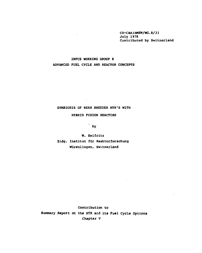**C0-CHA1RMEN/WG.8/33 July 1978 Contributed by Switzerland** 

## **INFCE WORKING GROUP 8 ADVANCED FUEL CYCLE AND REACTOR CONCEPTS**

 $\mathcal{O}(\mathcal{E}^{\mathcal{E}})$ 

## **SYMBIOSIS OF NEAR BREEDER HTR'S WITH**

 $\mathcal{L}^{\text{max}}_{\text{max}}$ 

## **HYBRID FUSION REACTORS**

**' by** 

**W. Seifritz Eidg. Institut fur Reaktorforschung Wiirenlingen, Switzerland** 

**Contribution to Summary Report on the HTR and its Fuel Cycle Options Chapter V** 

 $\mathbb{R}^2$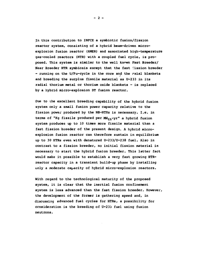**In this contribution to INFCE a symbiotic fusion/fission reactor system, consisting of a hybrid beam-driven microexplosion fusion reactor (HMER) and associated high-temperature gas-cooled reactors (HTR) with a coupled fuel cycle, is proposed. This system is similar to the well known Fast Breeder/**  Near Breeder HTR symbiosis except that the fast fission breeder **- running on the U/Pu-cycle in the core and the rxial blankets and breeding the surplus fissile material as U-233 in its radial thorium metal or thorium oxide blankets - is replaced by a hybrid micro-explosion DT fusion reactor.** 

**Due to the excellent breeding capability of the hybrid fusion system only a small fusion power capacity relative to the fission power produced by the NB-HTRs is necessary. I.e. in terms of "Kg fissile produced per MWtn-yr" a hybrid fusion system produces up to 10 times more fissile material than a fast fission breeder of the present design. A hybrid microexplosion fusion reactor can therefore sustain in equilibrium up to 30 HTRs even with denatured U-233/U-238 fuel. Also in contrast to a fission breeder, no initial fission material is necessary to start the hybrid fusion breeder. This latter fact would make it possible to establish a very fast growing HTRreactor capacity in a transient build-up phase by installing only a moderate capacity of hybrid micro-explosion reactors.** 

**With regard to the technological maturity of the proposed system, it is clear that the inertial fusion confinement system is less advanced than the fast fission breeder. However, the development of the former is gathering speed and, in discussing advanced fuel cycles for HTRs, a possibility for consideration is the breeding of U-233 fuel using fusion neutrons.**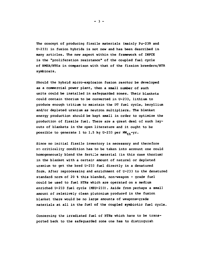**The concept of producing fissile materials (mainly Pu-239 and U-233) in fusion hybrids is not new and has been described in many articles. The new aspect within the framework of INFCE is the "proliferation resistance" of the coupled fuel cycle of HMER/HTRs in comparison with that of the fission breeders/HTR symbiosis.** 

**Should the hybrid micro-explosion fusion reactor be developed as a commercial power plant, then a small number of such units could be installed in safeguarded zones. Their blankets could contain thorium to be converted in U-233, lithium to produce enough tritium to maintain the DT fuel cycle, beryllium and/or depleted uranium as neutron multipliers. The blanket energy production should be kept small in order to optimize the production of fissile fuel. There are a great deal of such layouts of blankets in the open literature and it ought to be**  possible to generate 1 to 1.5 kg U-233 per  $MW_{th}$ -yr.

**Since no initial fissile inventory is necessary and therefore no criticality condition has to be taken into account one could homogeneously blend the fertile material (in this case thorium) in the blanket with a certain amount of natural or depleted uranium to get the bred U-233 fuel directly in a denatured form. After reprocessing and enrichment of U-233 to the denatured standard norm of 20 % this blended, non-weapon - grade fuel could be used to fuel HTRs which are operated on a medium enriched U-233 fuel cycle (MEU-233). Aside from perhaps a small amount of relatively clean plutonium produced in the fusion blanket there would be no large amounts of weapons-grade materials at all in the fuel of the coupled symbiotic fuel cycle.** 

**Concerning the irradiated fuel of HTRs which have to be transported back to the safeguarded zone one has to distinguish** 

**- 3 -**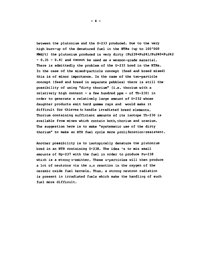**between the plutonium and the U-233 produced. Due to the very high burn-up of the denatured fuel in the HTRs (up to 100\*000 MWd/t) the plutonium produced is very dirty (Pu239+Pu241/Pu240+Pu242 = 0.35 - 0.4) and cannot be used as a weapon-grade material. There is admittedly the problem of the U-233 bred in the HTRs. In the case of the mixed-particle concept (feed and breed mixed) this is of minor importance. In the case of the two-particle concept (feed and breed in separate pebbles) there is still the possibility of using "dirty thorium" (i.e. thorium with a relatively high content - a few hundred ppm - of Th-230) in order to generate a relatively large amount of U-232 whose daughter products emit hard gamma rays and would make it difficult for thieves to handle irradiated breed elements. Thorium containing sufficient amounts of its isotope Th-230 is available from mines which contain both,thorium and uranium. The suggestion here is to make "systematic use of the dirty thorium" to make an HTR fuel cycle more proliferation-resistent.** 

**Another possibility is to isotopically denature the plutonium**  bred in an HTR containing U-238. The idea is to mix small **amounts of Np-237 with the fuel in order to produce Pu-238 which is a strong a-emitter. These a-particles will then produce a** lot of neutrons via the  $\alpha$ , n reaction in the oxygen of the **ceramic oxide fuel kernels. Thus, a strong neutron radiation is present in irradiated fuels which make the handling of such fuel more difficult.**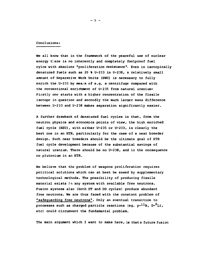## **Conclusions:**

**He all know that in the framework of the peaceful use of nuclear energy tl.ere is no inherently and completely foolproof fuel cylce with absolute "proliferation resistance". Even in isotopically denatured fuels such as 20 % U-233 in U-238, a relatively small amount of Separative Work Units (SWU) is necessary to fully**  enrich the U-233 by means of e.g. a centrifuge compared with **the conventional enrichment of U-235 from natural uranium: Firstly one starts with a higher concentration of the fissile isotope in question and secondly the much larger mass difference between U-233 and U-238 makes separation significantly easier.** 

**A further drawback of denatured fuel cycles is that, from the neutron physics and economics points of view, the high enriched fuel cycle (HEU), with either U-235 or U-233, is clearly the best one in an HTR, particularly for the case of a near breeder design. Such near breeders should be the ultimate goal of HTR fuel cycle development because of the substantial savings of natural uranium. There should be no U-238, and in the consequence no plutonium in an HTR.** 

**We believe that the problem of weapons proliferation requires political solutions which can at best be eased by supplementary technological methods. The possibility of producing fissile material exists** *in* **any system with available free neutrons. Fusion systems also (both DT and DD cycles) produce abundant free neutrons. We are thus faced with the constant problem of "safeguarding free neutrons". Only an eventual transition to**  processes such as charged particle reactions (eg. p-<sup>11</sup>B, D-<sup>6</sup>Li, **etc) could circumvent the fundamental problem.** 

**The main argument which I want to make here, is that a future fusion** 

**- 5 -**